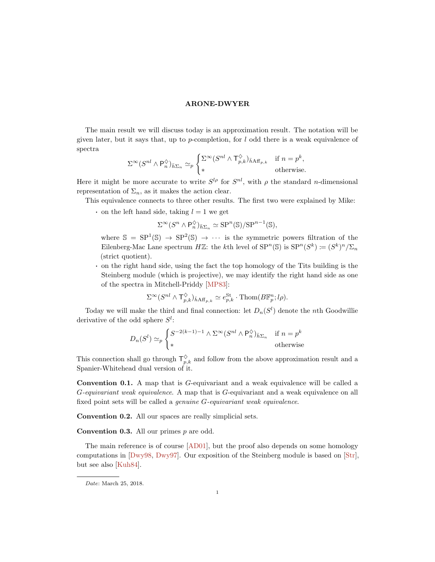<span id="page-0-0"></span>The main result we will discuss today is an approximation result. The notation will be given later, but it says that, up to  $p$ -completion, for  $l$  odd there is a weak equivalence of spectra

$$
\Sigma^{\infty}(S^{nl} \wedge \mathsf{P}_n^{\lozenge})_{\bar{h}\Sigma_n} \simeq_p \begin{cases} \Sigma^{\infty}(S^{nl} \wedge \mathsf{T}_{p,k}^{\lozenge})_{\bar{h}\mathrm{Aff}_{p,k}} & \text{if } n = p^k, \\ * & \text{otherwise.} \end{cases}
$$

Here it might be more accurate to write  $S^{l\rho}$  for  $S^{nl}$ , with  $\rho$  the standard *n*-dimensional representation of  $\Sigma_n$ , as it makes the action clear.

This equivalence connects to three other results. The first two were explained by Mike:

• on the left hand side, taking  $l = 1$  we get

$$
\Sigma^{\infty}(S^n \wedge \mathsf{P}_n^{\Diamond})_{\bar{h}\Sigma_n} \simeq \mathsf{SP}^n(\mathbb{S})/\mathsf{SP}^{n-1}(\mathbb{S}),
$$

where  $\mathbb{S} = \text{SP}^1(\mathbb{S}) \to \text{SP}^2(\mathbb{S}) \to \cdots$  is the symmetric powers filtration of the Eilenberg-Mac Lane spectrum  $H\mathbb{Z}$ : the kth level of  $SP^n(\mathbb{S})$  is  $SP^n(S^k) := (S^k)^n / \Sigma_n$ (strict quotient).

· on the right hand side, using the fact the top homology of the Tits building is the Steinberg module (which is projective), we may identify the right hand side as one of the spectra in Mitchell-Priddy [\[MP83\]](#page-13-0):

$$
\Sigma^{\infty}(S^{nl} \wedge \mathsf{T}^{\diamondsuit}_{p,k})_{\bar{h} \mathrm{Aff}_{p,k}} \simeq e^{St}_{p,k} \cdot \mathrm{Thom}(B\mathbb{F}^n_p; l\rho).
$$

Today we will make the third and final connection: let  $D_n(S^l)$  denote the nth Goodwillie derivative of the odd sphere  $S^l$ :

$$
D_n(S^l) \simeq_p \begin{cases} S^{-2(k-1)-1} \wedge \Sigma^{\infty} (S^{nl} \wedge P_n^{\diamondsuit})_{\bar{h}\Sigma_n} & \text{if } n = p^k \\ * & \text{otherwise} \end{cases}
$$

This connection shall go through  $\mathsf{T}_{p,k}^{\diamondsuit}$  and follow from the above approximation result and a Spanier-Whitehead dual version of it.

Convention 0.1. A map that is G-equivariant and a weak equivalence will be called a G-equivariant weak equivalence. A map that is G-equivariant and a weak equivalence on all fixed point sets will be called a genuine G-equivariant weak equivalence.

Convention 0.2. All our spaces are really simplicial sets.

**Convention 0.3.** All our primes  $p$  are odd.

The main reference is of course [\[AD01\]](#page-13-1), but the proof also depends on some homology computations in [\[Dwy98,](#page-13-2) [Dwy97\]](#page-13-3). Our exposition of the Steinberg module is based on [\[Str\]](#page-13-4), but see also [\[Kuh84\]](#page-13-5).

Date: March 25, 2018.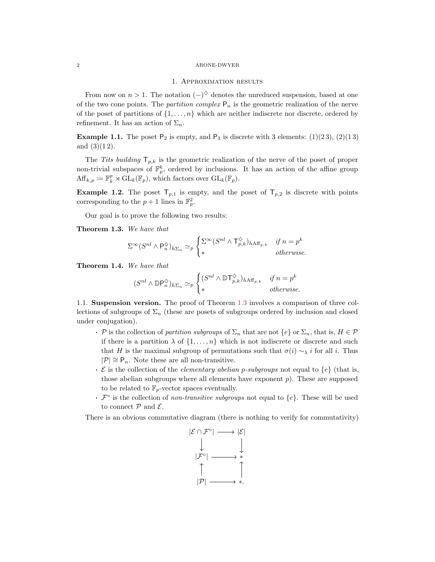# 1. Approximation results

From now on  $n > 1$ . The notation  $(-)^{\diamond}$  denotes the unreduced suspension, based at one of the two cone points. The *partition complex*  $P_n$  is the geometric realization of the nerve of the poset of partitions of  $\{1, \ldots, n\}$  which are neither indiscrete nor discrete, ordered by refinement. It has an action of  $\Sigma_n$ .

**Example 1.1.** The poset  $P_2$  is empty, and  $P_3$  is discrete with 3 elements: (1)(23), (2)(13) and  $(3)(12)$ .

The Tits building  $\mathsf{T}_{p,k}$  is the geometric realization of the nerve of the poset of proper non-trivial subspaces of  $\mathbb{F}_p^k$ , ordered by inclusions. It has an action of the affine group  $\mathrm{Aff}_{k,p} \coloneqq \mathbb{F}_k^p \rtimes \mathrm{GL}_k(\mathbb{F}_p),$  which factors over  $\mathrm{GL}_k(\mathbb{F}_p).$ 

**Example 1.2.** The poset  $T_{p,1}$  is empty, and the poset of  $T_{p,2}$  is discrete with points corresponding to the  $p + 1$  lines in  $\mathbb{F}_p^2$ .

Our goal is to prove the following two results:

<span id="page-1-0"></span>Theorem 1.3. We have that

$$
\Sigma^{\infty}(S^{nl} \wedge \mathsf{P}_n^{\lozenge})_{\bar{h}\Sigma_n} \simeq_p \begin{cases} \Sigma^{\infty}(S^{nl} \wedge \mathsf{T}_{p,k}^{\lozenge})_{\bar{h}\mathrm{Aff}_{p,k}} & \text{if } n = p^k \\ * & \text{otherwise.} \end{cases}
$$

<span id="page-1-1"></span>Theorem 1.4. We have that

$$
(S^{nl} \wedge \mathbb{D} \mathsf{P}_n^{\Diamond})_{\bar{h} \Sigma_n} \simeq_p \begin{cases} (S^{nl} \wedge \mathbb{D} \mathsf{T}_{p,k}^{\Diamond})_{\bar{h} \mathsf{Aff}_{p,k}} & \text{if } n = p^k \\ * & \text{otherwise.} \end{cases}
$$

1.1. Suspension version. The proof of Theorem [1.3](#page-1-0) involves a comparison of three collections of subgroups of  $\Sigma_n$  (these are posets of subgroups ordered by inclusion and closed under conjugation).

- P is the collection of partition subgroups of  $\Sigma_n$  that are not  $\{e\}$  or  $\Sigma_n$ , that is,  $H \in \mathcal{P}$ if there is a partition  $\lambda$  of  $\{1, \ldots, n\}$  which is not indiscrete or discrete and such that H is the maximal subgroup of permutations such that  $\sigma(i) \sim_\lambda i$  for all i. Thus  $|\mathcal{P}| \cong \mathsf{P}_n$ . Note these are all non-transitive.
- $\cdot \mathcal{E}$  is the collection of the *elementary abelian p-subgroups* not equal to  $\{e\}$  (that is, those abelian subgroups where all elements have exponent  $p$ ). These are supposed to be related to  $\mathbb{F}_p$ -vector spaces eventually.
- $\mathcal{F}^{\circ}$  is the collection of *non-transitive subgroups* not equal to  $\{e\}$ . These will be used to connect  $P$  and  $\mathcal{E}$ .

There is an obvious commutative diagram (there is nothing to verify for commutativity)

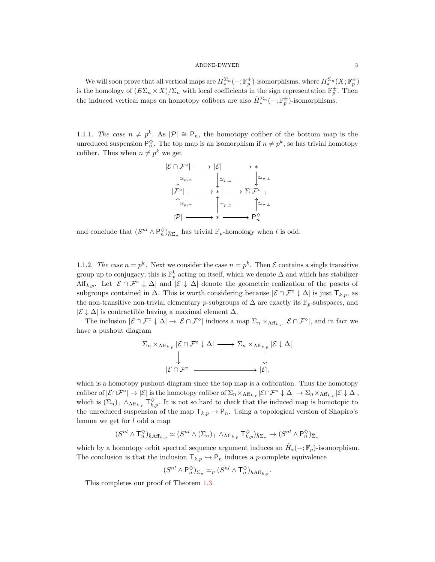We will soon prove that all vertical maps are  $H_*^{\Sigma_n}(-; \mathbb{F}_p^{\pm})$ -isomorphisms, where  $H_*^{\Sigma_n}(X; \mathbb{F}_p^{\pm})$ is the homology of  $(E\Sigma_n \times X)/\Sigma_n$  with local coefficients in the sign representation  $\mathbb{F}_p^{\pm}$ . Then the induced vertical maps on homotopy cofibers are also  $\tilde{H}_{*}^{\Sigma_n}(-;\mathbb{F}_p^{\pm})$ -isomorphisms.

1.1.1. The case  $n \neq p^k$ . As  $|\mathcal{P}| \cong \mathsf{P}_n$ , the homotopy cofiber of the bottom map is the unreduced suspension  $\mathsf{P}_n^{\diamondsuit}$ . The top map is an isomorphism if  $n \neq p^k$ , so has trivial homotopy cofiber. Thus when  $n \neq p^k$  we get



and conclude that  $(S^{nl} \wedge \mathsf{P}_n^{\Diamond})_{\bar{h} \Sigma_n}$  has trivial  $\mathbb{F}_p$ -homology when l is odd.

1.1.2. The case  $n = p^k$ . Next we consider the case  $n = p^k$ . Then  $\mathcal E$  contains a single transitive group up to conjugacy; this is  $\mathbb{F}_p^k$  acting on itself, which we denote  $\Delta$  and which has stabilizer Aff<sub>k,p</sub>. Let  $|\mathcal{E} \cap \mathcal{F}^{\circ} \downarrow \Delta|$  and  $|\mathcal{E} \downarrow \Delta|$  denote the geometric realization of the posets of subgroups contained in  $\Delta$ . This is worth considering because  $|\mathcal{E} \cap \mathcal{F}^{\circ} \downarrow \Delta|$  is just  $T_{k,p}$ , as the non-transitive non-trivial elementary p-subgroups of  $\Delta$  are exactly its  $\mathbb{F}_p$ -subspaces, and  $|\mathcal{E} \downarrow \Delta|$  is contractible having a maximal element  $\Delta$ .

The inclusion  $|\mathcal{E} \cap \mathcal{F}^{\circ} \downarrow \Delta| \to |\mathcal{E} \cap \mathcal{F}^{\circ}|$  induces a map  $\Sigma_n \times_{\mathrm{Aff}_{k,p}} |\mathcal{E} \cap \mathcal{F}^{\circ}|$ , and in fact we have a pushout diagram

$$
\Sigma_n \times_{\mathcal{A}\mathcal{H}_{k,p}} |\mathcal{E} \cap \mathcal{F}^{\circ} \downarrow \Delta| \longrightarrow \Sigma_n \times_{\mathcal{A}\mathcal{H}_{k,p}} |\mathcal{E} \downarrow \Delta|
$$
  

$$
\downarrow \qquad \qquad \downarrow
$$
  

$$
|\mathcal{E} \cap \mathcal{F}^{\circ}| \longrightarrow |\mathcal{E}|,
$$

which is a homotopy pushout diagram since the top map is a cofibration. Thus the homotopy cofiber of  $|\mathcal{E} \cap \mathcal{F}^{\circ}| \to |\mathcal{E}|$  is the homotopy cofiber of  $\Sigma_n \times_{\mathrm{Aff}_{k,p}} |\mathcal{E} \cap \mathcal{F}^{\circ} \downarrow \Delta| \to \Sigma_n \times_{\mathrm{Aff}_{k,p}} |\mathcal{E} \downarrow \Delta|$ , which is  $(\Sigma_n)_+ \wedge_{\mathrm{Aff}_{k,p}} \mathsf{T}_{k,p}^{\Diamond}$ . It is not so hard to check that the induced map is homotopic to the unreduced suspension of the map  $\mathsf{T}_{k,p} \to \mathsf{P}_n$ . Using a topological version of Shapiro's lemma we get for  $l$  odd a map

$$
(S^{nl} \wedge \mathsf{T}^\diamondsuit_n)_{\bar{h} \mathrm{Aff}_{k,p}} \simeq (S^{nl} \wedge (\Sigma_n)_+ \wedge_{\mathrm{Aff}_{k,p}} \mathsf{T}^\diamondsuit_{k,p})_{\bar{h} \Sigma_n} \to (S^{nl} \wedge \mathsf{P}^\diamondsuit_n)_{\bar{\Sigma}_n}
$$

which by a homotopy orbit spectral sequence argument induces an  $\tilde{H}_*(-;\mathbb{F}_p)$ -isomorphism. The conclusion is that the inclusion  $\mathsf{T}_{k,p} \hookrightarrow \mathsf{P}_n$  induces a p-complete equivalence

$$
(S^{nl} \wedge \mathsf{P}_n^{\diamondsuit})_{\bar{\Sigma}_n} \simeq_p (S^{nl} \wedge \mathsf{T}_n^{\diamondsuit})_{\bar{h} \mathrm{Aff}_{k,p}}.
$$

This completes our proof of Theorem [1.3.](#page-1-0)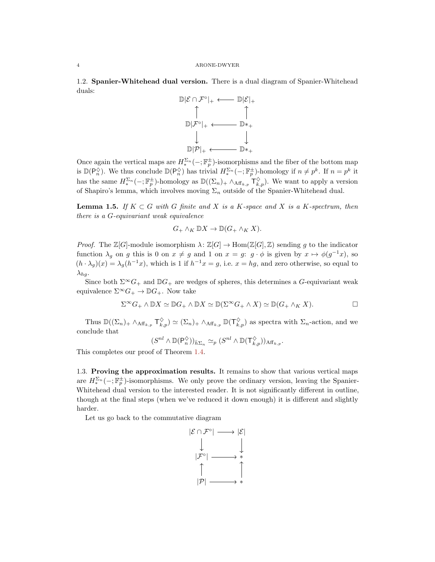1.2. Spanier-Whitehead dual version. There is a dual diagram of Spanier-Whitehead duals:



Once again the vertical maps are  $H_*^{\Sigma_n}(-; \mathbb{F}_p^{\pm})$ -isomorphisms and the fiber of the bottom map is  $\mathbb{D}(\mathsf{P}_n^{\diamond})$ . We thus conclude  $\mathbb{D}(\mathsf{P}_n^{\diamond})$  has trivial  $H^{\Sigma_n}_*(-;\mathbb{F}_p^{\pm})$ -homology if  $n \neq p^k$ . If  $n = p^k$  it has the same  $H_*^{\Sigma_n}(-; \mathbb{F}_p^{\pm})$ -homology as  $\mathbb{D}((\Sigma_n)_+ \wedge_{\mathrm{Aff}_{k,p}} \mathsf{T}_{k,p}^{\Diamond})$ . We want to apply a version of Shapiro's lemma, which involves moving  $\Sigma_n$  outside of the Spanier-Whitehead dual.

**Lemma 1.5.** If  $K \subset G$  with G finite and X is a K-space and X is a K-spectrum, then there is a G-equivariant weak equivalence

$$
G_+ \wedge_K \mathbb{D}X \to \mathbb{D}(G_+ \wedge_K X).
$$

*Proof.* The  $\mathbb{Z}[G]$ -module isomorphism  $\lambda : \mathbb{Z}[G] \to \text{Hom}(\mathbb{Z}[G], \mathbb{Z})$  sending g to the indicator function  $\lambda_g$  on g this is 0 on  $x \neq g$  and 1 on  $x = g$ :  $g \cdot \phi$  is given by  $x \mapsto \phi(g^{-1}x)$ , so  $(h \cdot \lambda_g)(x) = \lambda_g(h^{-1}x)$ , which is 1 if  $h^{-1}x = g$ , i.e.  $x = hg$ , and zero otherwise, so equal to  $\lambda_{hq}$ .

Since both  $\Sigma^{\infty}G_{+}$  and  $\mathbb{D}G_{+}$  are wedges of spheres, this determines a G-equivariant weak equivalence  $\Sigma^{\infty}G_+ \to \mathbb{D}G_+$ . Now take

$$
\Sigma^{\infty} G_+ \wedge \mathbb{D}X \simeq \mathbb{D}G_+ \wedge \mathbb{D}X \simeq \mathbb{D}(\Sigma^{\infty} G_+ \wedge X) \simeq \mathbb{D}(G_+ \wedge_K X).
$$

Thus  $\mathbb{D}((\Sigma_n)_+ \wedge_{\mathrm{Aff}_{k,p}} \mathsf{T}_{k,p}^{\Diamond}) \simeq (\Sigma_n)_+ \wedge_{\mathrm{Aff}_{k,p}} \mathbb{D}(\mathsf{T}_{k,p}^{\Diamond})$  as spectra with  $\Sigma_n$ -action, and we conclude that

$$
(S^{nl} \wedge \mathbb{D}(\mathsf{P}_n^{\diamondsuit}))_{\bar{h}\Sigma_n} \simeq_p (S^{nl} \wedge \mathbb{D}(\mathsf{T}_{k,p}^{\diamondsuit})_{\mathrm{Aff}_{k,p}}.
$$

This completes our proof of Theorem [1.4.](#page-1-1)

1.3. Proving the approximation results. It remains to show that various vertical maps are  $H_*^{\Sigma_n}(-; \mathbb{F}_p^{\pm})$ -isomorphisms. We only prove the ordinary version, leaving the Spanier-Whitehead dual version to the interested reader. It is not significantly different in outline, though at the final steps (when we've reduced it down enough) it is different and slightly harder.

Let us go back to the commutative diagram

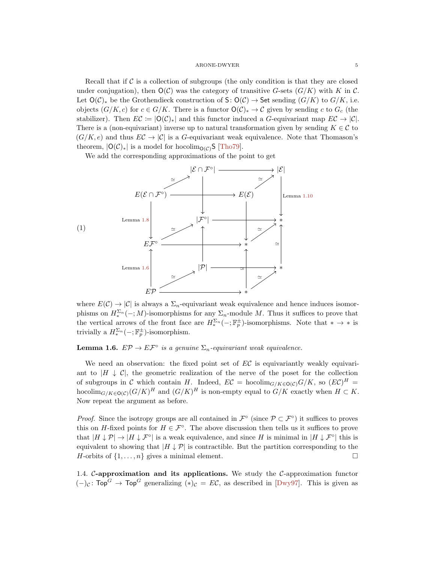<span id="page-4-2"></span>Recall that if  $\mathcal C$  is a collection of subgroups (the only condition is that they are closed under conjugation), then  $O(\mathcal{C})$  was the category of transitive G-sets  $(G/K)$  with K in C. Let  $\mathsf{O}(\mathcal{C})_*$  be the Grothendieck construction of S:  $\mathsf{O}(\mathcal{C}) \to$  Set sending  $(G/K)$  to  $G/K$ , i.e. objects  $(G/K, c)$  for  $c \in G/K$ . There is a functor  $O(C)_* \to C$  given by sending c to  $G_c$  (the stabilizer). Then  $EC := |O(C)_*|$  and this functor induced a G-equivariant map  $EC \rightarrow |C|$ . There is a (non-equivariant) inverse up to natural transformation given by sending  $K \in \mathcal{C}$  to  $(G/K, e)$  and thus  $EC \to |\mathcal{C}|$  is a G-equivariant weak equivalence. Note that Thomason's theorem,  $|O(\mathcal{C})_*|$  is a model for hocolim<sub> $O(\mathcal{C})$ </sub>S [\[Tho79\]](#page-13-6).

<span id="page-4-1"></span>We add the corresponding approximations of the point to get



where  $E(\mathcal{C}) \to |\mathcal{C}|$  is always a  $\Sigma_n$ -equivariant weak equivalence and hence induces isomorphisms on  $H_*^{\Sigma_n}(-;M)$ -isomorphisms for any  $\Sigma_n$ -module M. Thus it suffices to prove that the vertical arrows of the front face are  $H_*^{\Sigma_n}(-; \mathbb{F}_p^{\pm})$ -isomorphisms. Note that  $* \to *$  is trivially a  $H_*^{\Sigma_n}(-; \mathbb{F}_p^{\pm})$ -isomorphism.

<span id="page-4-0"></span>**Lemma 1.6.**  $E\mathcal{P} \to E\mathcal{F}^{\circ}$  is a genuine  $\Sigma_n$ -equivariant weak equivalence.

We need an observation: the fixed point set of  $EC$  is equivariantly weakly equivariant to  $|H \perp \mathcal{C}|$ , the geometric realization of the nerve of the poset for the collection of subgroups in C which contain H. Indeed,  $EC = \text{hocolim}_{G/K \in \mathcal{O}(\mathcal{C})} G/K$ , so  $(EC)^H =$ hocolim<sub> $G/K \in O(C)(G/K)^H$ </sub> and  $(G/K)^H$  is non-empty equal to  $G/K$  exactly when  $H \subset K$ . Now repeat the argument as before.

*Proof.* Since the isotropy groups are all contained in  $\mathcal{F}^{\circ}$  (since  $\mathcal{P} \subset \mathcal{F}^{\circ}$ ) it suffices to proves this on H-fixed points for  $H \in \mathcal{F}^{\circ}$ . The above discussion then tells us it suffices to prove that  $|H \downarrow \mathcal{P}| \rightarrow |H \downarrow \mathcal{F}^{\circ}|$  is a weak equivalence, and since H is minimal in  $|H \downarrow \mathcal{F}^{\circ}|$  this is equivalent to showing that  $|H \downarrow \mathcal{P}|$  is contractible. But the partition corresponding to the H-orbits of  $\{1, \ldots, n\}$  gives a minimal element.

1.4.  $\mathcal{C}\text{-approximation}$  and its applications. We study the  $\mathcal{C}\text{-approximation}$  functor  $(-)_\mathcal{C}$ : Top<sup>G</sup>  $\rightarrow$  Top<sup>G</sup> generalizing  $(*)_\mathcal{C} = E\mathcal{C}$ , as described in [\[Dwy97\]](#page-13-3). This is given as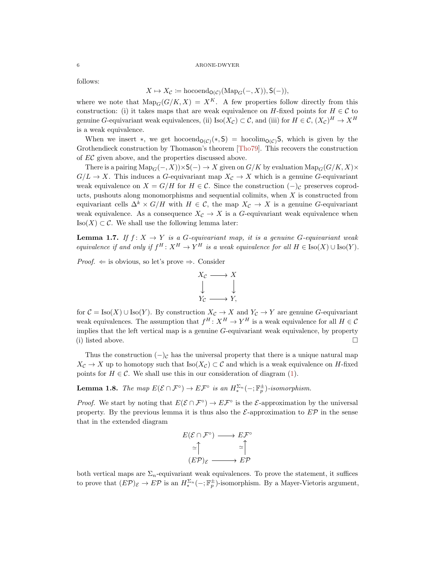<span id="page-5-2"></span>follows:

$$
X \mapsto X_{\mathcal{C}} \coloneqq \text{hocoend}_{\mathsf{O}(\mathcal{C})}(\text{Map}_{G}(-, X)), \mathsf{S}(-)),
$$

where we note that  $\text{Map}_G(G/K, X) = X^K$ . A few properties follow directly from this construction: (i) it takes maps that are weak equivalence on H-fixed points for  $H \in \mathcal{C}$  to genuine G-equivariant weak equivalences, (ii) Iso $(X_{\mathcal{C}}) \subset \mathcal{C}$ , and (iii) for  $H \in \mathcal{C}$ ,  $(X_{\mathcal{C}})^H \to X^H$ is a weak equivalence.

When we insert  $\ast$ , we get hocoend<sub>O(C)</sub>( $\ast$ , S) = hocolim<sub>O(C)</sub>S, which is given by the Grothendieck construction by Thomason's theorem [\[Tho79\]](#page-13-6). This recovers the construction of EC given above, and the properties discussed above.

There is a pairing  $\text{Map}_G(-, X)) \times \mathsf{S}(-) \to X$  given on  $G/K$  by evaluation  $\text{Map}_G(G/K, X) \times$  $G/L \to X$ . This induces a G-equivariant map  $X_c \to X$  which is a genuine G-equivariant weak equivalence on  $X = G/H$  for  $H \in \mathcal{C}$ . Since the construction  $(-)_{\mathcal{C}}$  preserves coproducts, pushouts along monomorphisms and sequential colimits, when  $X$  is constructed from equivariant cells  $\Delta^k \times G/H$  with  $H \in \mathcal{C}$ , the map  $X_{\mathcal{C}} \to X$  is a genuine G-equivariant weak equivalence. As a consequence  $X_{\mathcal{C}} \to X$  is a G-equivariant weak equivalence when  $\text{Iso}(X) \subset \mathcal{C}$ . We shall use the following lemma later:

<span id="page-5-1"></span>**Lemma 1.7.** If  $f: X \to Y$  is a G-equivariant map, it is a genuine G-equivariant weak equivalence if and only if  $f^H : X^H \to Y^H$  is a weak equivalence for all  $H \in Iso(X) \cup Iso(Y)$ .

*Proof.*  $\Leftarrow$  is obvious, so let's prove  $\Rightarrow$ . Consider



for  $C = Iso(X) \cup Iso(Y)$ . By construction  $X_{\mathcal{C}} \to X$  and  $Y_{\mathcal{C}} \to Y$  are genuine G-equivariant weak equivalences. The assumption that  $f^H: X^H \to Y^H$  is a weak equivalence for all  $H \in \mathcal{C}$ implies that the left vertical map is a genuine  $G$ -equivariant weak equivalence, by property (i) listed above.

Thus the construction  $(-)c$  has the universal property that there is a unique natural map  $X_{\mathcal{C}} \to X$  up to homotopy such that  $\text{Iso}(X_{\mathcal{C}}) \subset \mathcal{C}$  and which is a weak equivalence on H-fixed points for  $H \in \mathcal{C}$ . We shall use this in our consideration of diagram [\(1\)](#page-4-1).

<span id="page-5-0"></span>**Lemma 1.8.** The map  $E(\mathcal{E} \cap \mathcal{F}^{\circ}) \to E\mathcal{F}^{\circ}$  is an  $H_*^{\Sigma_n}(-; \mathbb{F}_p^{\pm})$ -isomorphism.

*Proof.* We start by noting that  $E(\mathcal{E} \cap \mathcal{F}^{\circ}) \to E\mathcal{F}^{\circ}$  is the  $\mathcal{E}$ -approximation by the universal property. By the previous lemma it is thus also the  $\mathcal{E}\text{-approximation}$  to  $E\mathcal{P}$  in the sense that in the extended diagram

$$
E(\mathcal{E} \cap \mathcal{F}^{\circ}) \longrightarrow E\mathcal{F}^{\circ}
$$

$$
\simeq \uparrow \qquad \simeq \uparrow
$$

$$
(E\mathcal{P})_{\mathcal{E}} \longrightarrow E\mathcal{P}
$$

both vertical maps are  $\Sigma_n$ -equivariant weak equivalences. To prove the statement, it suffices to prove that  $(EP)_{\mathcal{E}} \to E\mathcal{P}$  is an  $H_*^{\Sigma_n}(-; \mathbb{F}_p^{\pm})$ -isomorphism. By a Mayer-Vietoris argument,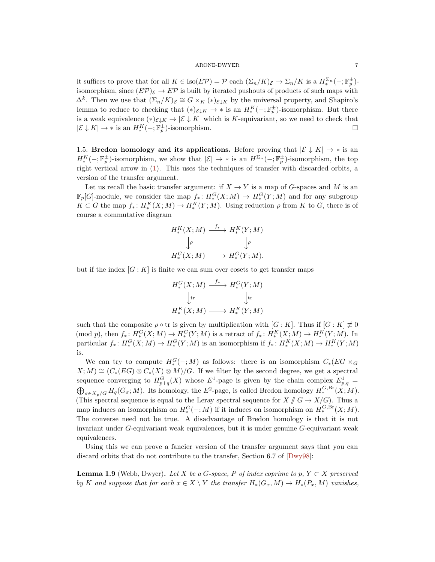<span id="page-6-1"></span>it suffices to prove that for all  $K \in \text{Iso}(E\mathcal{P}) = \mathcal{P}$  each  $(\Sigma_n/K)_{\mathcal{E}} \to \Sigma_n/K$  is a  $H_*^{\Sigma_n}(-;\mathbb{F}_p^{\pm})$ isomorphism, since  $(E\mathcal{P})_{\mathcal{E}} \to E\mathcal{P}$  is built by iterated pushouts of products of such maps with  $\Delta^k$ . Then we use that  $(\Sigma_n/K)_{\mathcal{E}} \cong G \times_K (*)_{\mathcal{E}\downarrow K}$  by the universal property, and Shapiro's lemma to reduce to checking that  $(*)_{{\mathcal{E}} \downarrow K} \to *$  is an  $H_*^K(-; \mathbb{F}_p^{\pm})$ -isomorphism. But there is a weak equivalence  $(*)_{\mathcal{E}\downarrow K} \to |\mathcal{E}\downarrow K|$  which is K-equivariant, so we need to check that  $|\mathcal{E} \downarrow K| \to *$  is an  $H_*^K(-; \mathbb{F}_p^{\pm})$ -isomorphism.

1.5. Bredon homology and its applications. Before proving that  $|\mathcal{E} \downarrow K| \rightarrow *$  is an  $H_*^K(-; \mathbb{F}_p^{\pm})$ -isomorphism, we show that  $|\mathcal{E}| \to *$  is an  $H^{\Sigma_n}(-; \mathbb{F}_p^{\pm})$ -isomorphism, the top right vertical arrow in [\(1\)](#page-4-1). This uses the techniques of transfer with discarded orbits, a version of the transfer argument.

Let us recall the basic transfer argument: if  $X \to Y$  is a map of G-spaces and M is an  $\mathbb{F}_p[G]$ -module, we consider the map  $f_*\colon H_*^G(X;M) \to H_*^G(Y;M)$  and for any subgroup  $K \subset G$  the map  $f_*: H_*^K(X; M) \to H_*^K(Y; M)$ . Using reduction  $\rho$  from K to G, there is of course a commutative diagram

$$
H_*^K(X; M) \xrightarrow{f_*} H_*^K(Y; M)
$$
  

$$
\downarrow \rho \qquad \qquad \downarrow \rho
$$
  

$$
H_*^G(X; M) \longrightarrow H_*^G(Y; M).
$$

but if the index  $[G: K]$  is finite we can sum over cosets to get transfer maps

$$
H_*^G(X; M) \xrightarrow{f_*} H_*^G(Y; M)
$$
  
\n
$$
\downarrow \text{tr}
$$
  
\n
$$
H_*^K(X; M) \longrightarrow H_*^K(Y; M)
$$

such that the composite  $\rho \circ \text{tr}$  is given by multiplication with  $[G:K]$ . Thus if  $[G:K] \neq 0$ (mod p), then  $f_*: H_*^G(X; M) \to H_*^G(Y; M)$  is a retract of  $f_*: H_*^K(X; M) \to H_*^K(Y; M)$ . In particular  $f_*: H_*^G(X;M) \to H_*^G(Y;M)$  is an isomorphism if  $f_*: H_*^K(X;M) \to H_*^K(Y;M)$ is.

We can try to compute  $H_*^G(-;M)$  as follows: there is an isomorphism  $C_*(EG \times_G G)$  $X; M \cong (C_*(EG) \otimes C_*(X) \otimes M)/G$ . If we filter by the second degree, we get a spectral sequence converging to  $H_{p+q}^G(X)$  whose  $E^1$ -page is given by the chain complex  $E_{p,q}^1$  =  $\bigoplus_{\sigma \in X_p/G} H_q(G_\sigma; M)$ . Its homology, the  $E^2$ -page, is called Bredon homology  $H_*^{G,\text{Br}}(X;M)$ . (This spectral sequence is equal to the Leray spectral sequence for  $X \text{ } / \text{ } G \to X/G$ ). Thus a map induces an isomorphism on  $H_*^G(-, M)$  if it induces on isomorphism on  $H_*^{G, Br}(X; M)$ . The converse need not be true. A disadvantage of Bredon homology is that it is not invariant under G-equivariant weak equivalences, but it is under genuine G-equivariant weak equivalences.

Using this we can prove a fancier version of the transfer argument says that you can discard orbits that do not contribute to the transfer, Section 6.7 of [\[Dwy98\]](#page-13-2):

<span id="page-6-0"></span>**Lemma 1.9** (Webb, Dwyer). Let X be a G-space, P of index coprime to p,  $Y \subset X$  preserved by K and suppose that for each  $x \in X \setminus Y$  the transfer  $H_*(G_x, M) \to H_*(P_x, M)$  vanishes,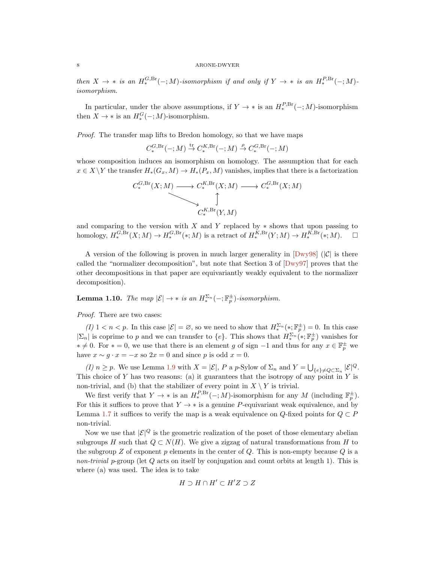<span id="page-7-1"></span>then  $X \to *$  is an  $H_*^{G,\text{Br}}(-;M)$ -isomorphism if and only if  $Y \to *$  is an  $H_*^{P,\text{Br}}(-;M)$ isomorphism.

In particular, under the above assumptions, if  $Y \to *$  is an  $H_*^{P,\text{Br}}(-,M)$ -isomorphism then  $X \to *$  is an  $H_*^G(-;M)$ -isomorphism.

Proof. The transfer map lifts to Bredon homology, so that we have maps

 $C_*^{G,\text{Br}}(-;M)\stackrel{\text{tr}}{\rightarrow} C_*^{K,\text{Br}}(-;M)\stackrel{\rho}{\rightarrow} C_*^{G,\text{Br}}(-;M)$ 

whose composition induces an isomorphism on homology. The assumption that for each  $x \in X\backslash Y$  the transfer  $H_*(G_x, M) \to H_*(P_x, M)$  vanishes, implies that there is a factorization

$$
C^{G,\text{Br}}_*(X;M) \longrightarrow C^{K,\text{Br}}_*(X;M) \longrightarrow C^{G,\text{Br}}_*(X;M)
$$
  

$$
\updownarrow
$$
  

$$
C^{K,\text{Br}}_*(Y,M)
$$

and comparing to the version with X and Y replaced by  $*$  shows that upon passing to homology,  $H_*^{G,\text{Br}}(X;M) \to H_*^{G,\text{Br}}(*;M)$  is a retract of  $H_*^{K,\text{Br}}(Y;M) \to H_*^{K,\text{Br}}(*;M)$ .  $\square$ 

A version of the following is proven in much larger generality in  $[Dwy98]$  ( $|C|$  is there called the "normalizer decomposition", but note that Section 3 of [\[Dwy97\]](#page-13-3) proves that the other decompositions in that paper are equivariantly weakly equivalent to the normalizer decomposition).

<span id="page-7-0"></span>**Lemma 1.10.** The map  $|\mathcal{E}| \to *$  is an  $H_*^{\Sigma_n}(-; \mathbb{F}_p^{\pm})$ -isomorphism.

Proof. There are two cases:

(I)  $1 < n < p$ . In this case  $|\mathcal{E}| = \emptyset$ , so we need to show that  $H_*^{\Sigma_n}(*; \mathbb{F}_p^{\pm}) = 0$ . In this case  $|\Sigma_n|$  is coprime to p and we can transfer to  $\{e\}$ . This shows that  $H_*^{\Sigma_n}(\cdot;\mathbb{F}_p^{\pm})$  vanishes for  $* \neq 0$ . For  $* = 0$ , we use that there is an element g of sign  $-1$  and thus for any  $x \in \mathbb{F}_p^{\pm}$  we have  $x \sim g \cdot x = -x$  so  $2x = 0$  and since p is odd  $x = 0$ .

(I)  $n \ge p$ . We use Lemma [1.9](#page-6-0) with  $X = |\mathcal{E}|$ , P a p-Sylow of  $\Sigma_n$  and  $Y = \bigcup_{\{e\} \neq Q \subset \Sigma_n} |\mathcal{E}|^Q$ . This choice of Y has two reasons: (a) it guarantees that the isotropy of any point in Y is non-trivial, and (b) that the stabilizer of every point in  $X \setminus Y$  is trivial.

We first verify that  $Y \to *$  is an  $H_*^{P,\text{Br}}(-;M)$ -isomorphism for any M (including  $\mathbb{F}_p^{\pm}$ ). For this it suffices to prove that  $Y \to *$  is a genuine P-equivariant weak equivalence, and by Lemma [1.7](#page-5-1) it suffices to verify the map is a weak equivalence on  $Q$ -fixed points for  $Q \subset P$ non-trivial.

Now we use that  $|\mathcal{E}|^Q$  is the geometric realization of the poset of those elementary abelian subgroups H such that  $Q \subset N(H)$ . We give a zigzag of natural transformations from H to the subgroup Z of exponent p elements in the center of  $Q$ . This is non-empty because  $Q$  is a non-trivial p-group (let  $Q$  acts on itself by conjugation and count orbits at length 1). This is where (a) was used. The idea is to take

$$
H\supset H\cap H'\subset H'Z\supset Z
$$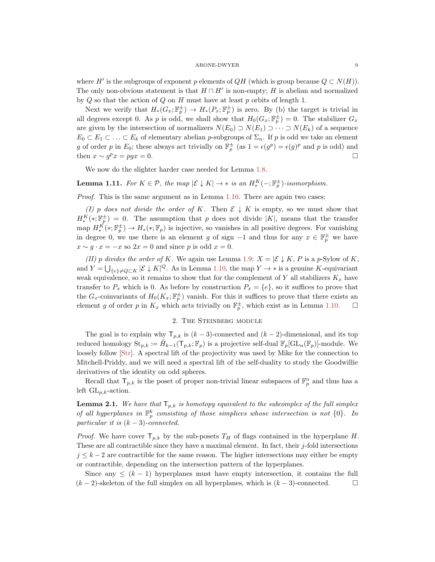<span id="page-8-0"></span>where H' is the subgroups of exponent p elements of  $QH$  (which is group because  $Q \subset N(H)$ ). The only non-obvious statement is that  $H \cap H'$  is non-empty; H is abelian and normalized by  $Q$  so that the action of  $Q$  on  $H$  must have at least  $p$  orbits of length 1.

Next we verify that  $H_*(G_x; \mathbb{F}_p^{\pm}) \to H_*(P_x; \mathbb{F}_p^{\pm})$  is zero. By (b) the target is trivial in all degrees except 0. As p is odd, we shall show that  $H_0(G_x; \mathbb{F}_p^{\pm}) = 0$ . The stabilizer  $G_x$ are given by the intersection of normalizers  $N(E_0) \supset N(E_1) \supset \cdots \supset N(E_k)$  of a sequence  $E_0 \subset E_1 \subset \ldots \subset E_k$  of elementary abelian p-subgroups of  $\Sigma_n$ . If p is odd we take an element g of order p in  $E_0$ ; these always act trivially on  $\mathbb{F}_p^{\pm}$  (as  $1 = \epsilon(g^p) = \epsilon(g)^p$  and p is odd) and then  $x \sim g^p x = pgx = 0$ .

We now do the slighter harder case needed for Lemma [1.8.](#page-5-0)

# **Lemma 1.11.** For  $K \in \mathcal{P}$ , the map  $|\mathcal{E} \downarrow K| \rightarrow *$  is an  $H_*^K(-; \mathbb{F}_p^{\pm})$ -isomorphism.

*Proof.* This is the same argument as in Lemma  $1.10$ . There are again two cases:

(I) p does not divide the order of K. Then  $\mathcal{E} \downarrow K$  is empty, so we must show that  $H_*^{K}(*; \mathbb{F}_p^{\pm}) = 0$ . The assumption that p does not divide |K|, means that the transfer map  $H^{\vec{K}}_*(\cdot;\mathbb{F}_p^{\pm}) \to H_*(\cdot;\mathbb{F}_p)$  is injective, so vanishes in all positive degrees. For vanishing in degree 0, we use there is an element g of sign  $-1$  and thus for any  $x \in \mathbb{F}_p^{\pm}$  we have  $x \sim g \cdot x = -x$  so  $2x = 0$  and since p is odd  $x = 0$ .

(II) p divides the order of K. We again use Lemma [1.9:](#page-6-0)  $X = \mathcal{E} \downarrow K$ , P is a p-Sylow of K, and  $Y = \bigcup_{\{e\} \neq Q \subset K} |\mathcal{E} \downarrow K|^Q$ . As in Lemma [1.10,](#page-7-0) the map  $Y \to *$  is a genuine K-equivariant weak equivalence, so it remains to show that for the complement of Y all stabilizers  $K_x$  have transfer to  $P_x$  which is 0. As before by construction  $P_x = \{e\}$ , so it suffices to prove that the  $G_x$ -coinvariants of  $H_0(K_x; \mathbb{F}_p^{\pm})$  vanish. For this it suffices to prove that there exists an element g of order p in  $K_x$  which acts trivially on  $\mathbb{F}_p^{\pm}$ , which exist as in Lemma [1.10.](#page-7-0)  $\Box$ 

# 2. The Steinberg module

The goal is to explain why  $\mathsf{T}_{p,k}$  is  $(k-3)$ -connected and  $(k-2)$ -dimensional, and its top reduced homology  $\text{St}_{p,k} := \tilde{H}_{k-1}(\mathsf{T}_{p,k};\mathbb{F}_p)$  is a projective self-dual  $\mathbb{F}_p[\text{GL}_n(\mathbb{F}_p)]$ -module. We loosely follow [\[Str\]](#page-13-4). A spectral lift of the projectivity was used by Mike for the connection to Mitchell-Priddy, and we will need a spectral lift of the self-duality to study the Goodwillie derivatives of the identity on odd spheres.

Recall that  $\mathsf{T}_{p,k}$  is the poset of proper non-trivial linear subspaces of  $\mathbb{F}_p^n$  and thus has a left  $GL_{p,k}$ -action.

**Lemma 2.1.** We have that  $\mathsf{T}_{p,k}$  is homotopy equivalent to the subcomplex of the full simplex of all hyperplanes in  $\mathbb{F}_p^k$  consisting of those simplices whose intersection is not  $\{0\}$ . In particular it is  $(k-3)$ -connected.

*Proof.* We have cover  $\mathsf{T}_{p,k}$  by the sub-posets  $T_H$  of flags contained in the hyperplane H. These are all contractible since they have a maximal element. In fact, their  $j$ -fold intersections  $j \leq k-2$  are contractible for the same reason. The higher intersections may either be empty or contractible, depending on the intersection pattern of the hyperplanes.

Since any  $\leq (k-1)$  hyperplanes must have empty intersection, it contains the full  $(k-2)$ -skeleton of the full simplex on all hyperplanes, which is  $(k-3)$ -connected.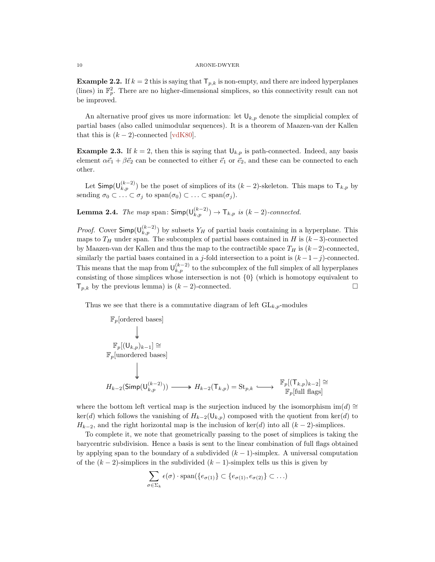**Example 2.2.** If  $k = 2$  this is saying that  $\mathsf{T}_{p,k}$  is non-empty, and there are indeed hyperplanes (lines) in  $\mathbb{F}_p^2$ . There are no higher-dimensional simplices, so this connectivity result can not be improved.

An alternative proof gives us more information: let  $\mathsf{U}_{k,p}$  denote the simplicial complex of partial bases (also called unimodular sequences). It is a theorem of Maazen-van der Kallen that this is  $(k-2)$ -connected [\[vdK80\]](#page-13-7).

**Example 2.3.** If  $k = 2$ , then this is saying that  $\bigcup_{k,p}$  is path-connected. Indeed, any basis element  $\alpha \vec{e}_1 + \beta \vec{e}_2$  can be connected to either  $\vec{e}_1$  or  $\vec{e}_2$ , and these can be connected to each other.

Let  $\mathsf{Simp}(\mathsf{U}_{k,p}^{(k-2)})$  be the poset of simplices of its  $(k-2)$ -skeleton. This maps to  $\mathsf{T}_{k,p}$  by sending  $\sigma_0 \subset \ldots \subset \sigma_j$  to  $\text{span}(\sigma_0) \subset \ldots \subset \text{span}(\sigma_j)$ .

**Lemma 2.4.** The map span:  $\textsf{Simp}(\mathsf{U}_{k,p}^{(k-2)}) \to \mathsf{T}_{k,p}$  is  $(k-2)$ -connected.

*Proof.* Cover  $\textsf{Simp}(\mathsf{U}_{k,p}^{(k-2)})$  by subsets  $Y_H$  of partial basis containing in a hyperplane. This maps to  $T_H$  under span. The subcomplex of partial bases contained in H is  $(k-3)$ -connected by Maazen-van der Kallen and thus the map to the contractible space  $T_H$  is  $(k-2)$ -connected, similarly the partial bases contained in a j-fold intersection to a point is  $(k-1-j)$ -connected. This means that the map from  $\mathsf{U}_{k,p}^{(k-2)}$  to the subcomplex of the full simplex of all hyperplanes consisting of those simplices whose intersection is not {0} (which is homotopy equivalent to  $\mathsf{T}_{p,k}$  by the previous lemma) is  $(k-2)$ -connected.

Thus we see that there is a commutative diagram of left  $GL_{k,p}$ -modules

$$
\begin{array}{ccc}\n\mathbb{F}_p[\textrm{ordered bases}] & & \\
& \downarrow & \\
\mathbb{F}_p[(\mathsf{U}_{k,p})_{k-1}] \cong & \\
& \mathbb{F}_p[\textrm{unordered bases}] & \\
& \downarrow & \\
& H_{k-2}(\textrm{Simp}(\mathsf{U}_{k,p}^{(k-2)})) \longrightarrow H_{k-2}(\mathsf{T}_{k,p}) = \textrm{St}_{p,k} \longrightarrow & \mathbb{F}_p[(\mathsf{T}_{k,p})_{k-2}] \cong \\
& H_{k-2}(\textrm{Simp}(\mathsf{U}_{k,p}^{(k-2)})) \longrightarrow H_{k-2}(\mathsf{T}_{k,p}) = \textrm{St}_{p,k} \longrightarrow & \mathbb{F}_p[\textrm{full flags}] \end{array}
$$

where the bottom left vertical map is the surjection induced by the isomorphism im(d) ≅  $\ker(d)$  which follows the vanishing of  $H_{k-2}(\mathsf{U}_{k,p})$  composed with the quotient from  $\ker(d)$  to  $H_{k-2}$ , and the right horizontal map is the inclusion of ker(d) into all  $(k-2)$ -simplices.

To complete it, we note that geometrically passing to the poset of simplices is taking the barycentric subdivision. Hence a basis is sent to the linear combination of full flags obtained by applying span to the boundary of a subdivided  $(k - 1)$ -simplex. A universal computation of the  $(k-2)$ -simplices in the subdivided  $(k-1)$ -simplex tells us this is given by

$$
\sum_{\sigma \in \Sigma_k} \epsilon(\sigma) \cdot \text{span}(\{e_{\sigma(1)}\} \subset \{e_{\sigma(1)}, e_{\sigma(2)}\} \subset \ldots)
$$

<span id="page-9-0"></span>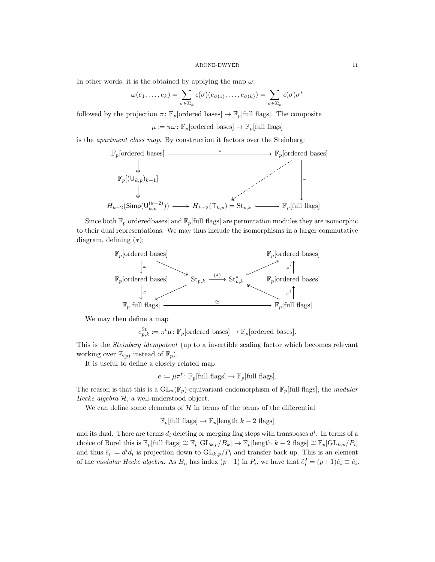In other words, it is the obtained by applying the map  $\omega$ :

$$
\omega(e_1,\ldots,e_k)=\sum_{\sigma\in\Sigma_k}\epsilon(\sigma)(e_{\sigma(1)},\ldots,e_{\sigma(k)})=\sum_{\sigma\in\Sigma_k}\epsilon(\sigma)\sigma^*
$$

followed by the projection  $\pi: \mathbb{F}_p[\text{ordered bases}] \to \mathbb{F}_p[\text{full flags}]$ . The composite

 $\mu \coloneqq \pi \omega \colon \mathbb{F}_p$ [ordered bases]  $\to \mathbb{F}_p$ [full flags]

is the apartment class map. By construction it factors over the Steinberg:



Since both  $\mathbb{F}_p$  [orderedbases] and  $\mathbb{F}_p$ [full flags] are permutation modules they are isomorphic to their dual representations. We may thus include the isomorphisms in a larger commutative diagram, defining (∗):



We may then define a map

$$
e_{p,k}^{\text{St}} \coloneqq \pi^t \mu \colon \mathbb{F}_p[\text{ordered bases}] \to \mathbb{F}_p[\text{ordered bases}].
$$

This is the Steinberg idempotent (up to a invertible scaling factor which becomes relevant working over  $\mathbb{Z}_{(p)}$  instead of  $\mathbb{F}_p$ .

It is useful to define a closely related map

$$
e \coloneqq \mu \pi^t \colon \mathbb{F}_p[\text{full flags}] \to \mathbb{F}_p[\text{full flags}].
$$

The reason is that this is a  $GL_n(\mathbb{F}_p)$ -equivariant endomorphism of  $\mathbb{F}_p$ [full flags], the *modular* Hecke algebra  $H$ , a well-understood object.

We can define some elements of  $\mathcal H$  in terms of the terms of the differential

$$
\mathbb{F}_p[\text{full flags}] \to \mathbb{F}_p[\text{length }k-2 \text{ flags}]
$$

and its dual. There are terms  $d_i$  deleting or merging flag steps with transposes  $d^i$ . In terms of a choice of Borel this is  $\mathbb{F}_p[\text{full flags}] \cong \mathbb{F}_p[\text{GL}_{k,p}/B_k] \to \mathbb{F}_p[\text{length } k-2 \text{ flags}] \cong \mathbb{F}_p[\text{GL}_{k,p}/P_i]$ and thus  $\hat{e}_i \coloneqq d^i d_i$  is projection down to  $GL_{k,p}/P_i$  and transfer back up. This is an element of the modular Hecke algebra. As  $B_n$  has index  $(p+1)$  in  $P_i$ , we have that  $\hat{e}_i^2 = (p+1)\hat{e}_i \equiv \hat{e}_i$ .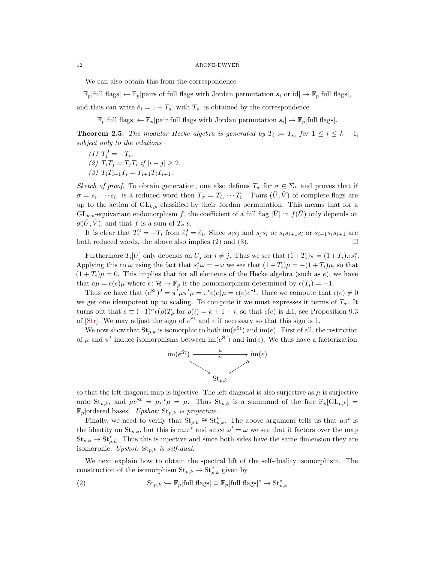We can also obtain this from the correspondence

 $\mathbb{F}_p$ [full flags]  $\leftarrow \mathbb{F}_p$ [pairs of full flags with Jordan permutation  $s_i$  or id]  $\rightarrow \mathbb{F}_p$ [full flags],

and thus can write  $\hat{e}_i = 1 + T_{s_i}$  with  $T_{s_i}$  is obtained by the correspondence

 $\mathbb{F}_p[\text{full flags}] \leftarrow \mathbb{F}_p[\text{pair full flags with Jordan permutation } s_i] \rightarrow \mathbb{F}_p[\text{full flags}].$ 

**Theorem 2.5.** The modular Hecke algebra is generated by  $T_i := T_{s_i}$  for  $1 \leq i \leq k-1$ , subject only to the relations

- (1)  $T_i^2 = -T_i$ .
- (2)  $T_i T_j = T_j T_i$  if  $|i j| \geq 2$ .
- (3)  $T_i T_{i+1} T_i = T_{i+1} T_i T_{i+1}$ .

Sketch of proof. To obtain generation, one also defines  $T_{\sigma}$  for  $\sigma \in \Sigma_k$  and proves that if  $\sigma = s_{i_1} \cdots s_{i_r}$  is a reduced word then  $T_{\sigma} = T_{i_1} \cdots T_{i_r}$ . Pairs  $(\bar{U}, \bar{V})$  of complete flags are up to the action of  $GL_{k,p}$  classified by their Jordan permutation. This means that for a  $GL_{k,p}$ -equivariant endomorphism f, the coefficient of a full flag  $[\bar{V}]$  in  $f(\bar{U})$  only depends on  $\sigma(U, V)$ , and that f is a sum of  $T_{\sigma}$ 's.

It is clear that  $T_i^2 = -T_i$  from  $\hat{e}_i^2 = \hat{e}_i$ . Since  $s_i s_j$  and  $s_j s_i$  or  $s_i s_{i+1} s_i$  or  $s_{i+1} s_i s_{i+1}$  are both reduced words, the above also implies (2) and (3).  $\Box$ 

Furthermore  $T_i[\bar{U}]$  only depends on  $U_j$  for  $i \neq j$ . Thus we see that  $(1+T_i)\pi = (1+T_i)\pi s_i^*$ . Applying this to  $\omega$  using the fact that  $s_i^* \omega = -\omega$  we see that  $(1 + T_i)\mu = -(1 + T_i)\mu$ , so that  $(1+T_i)\mu=0$ . This implies that for all elements of the Hecke algebra (such as e), we have that  $e\mu = \epsilon(e)\mu$  where  $\epsilon \colon \mathcal{H} \to \mathbb{F}_p$  is the homomorphism determined by  $\epsilon(T_i) = -1$ .

Thus we have that  $(e^{St})^2 = \pi^t \mu \pi^t \mu = \pi^t \epsilon(e) \mu = \epsilon(e) e^{St}$ . Once we compute that  $\epsilon(e) \neq 0$ we get one idempotent up to scaling. To compute it we must expresses it terms of  $T_{\sigma}$ . It turns out that  $e \equiv (-1)^n \epsilon(\rho) T_\rho$  for  $\rho(i) = k+1-i$ , so that  $\epsilon(e)$  is  $\pm 1$ , see Proposition 9.3 of [\[Str\]](#page-13-4). We may adjust the sign of  $e^{St}$  and e if necessary so that this sign is 1.

We now show that  $St_{p,k}$  is isomorphic to both  $\text{im}(e^{\text{St}})$  and  $\text{im}(e)$ . First of all, the restriction of  $\mu$  and  $\pi^t$  induce isomorphisms between  $\text{im}(e^{\text{St}})$  and  $\text{im}(e)$ . We thus have a factorization



so that the left diagonal map is injective. The left diagonal is also surjective as  $\mu$  is surjective onto St<sub>p,k</sub>, and  $\mu e^{St} = \mu \pi^t \mu = \mu$ . Thus St<sub>p,k</sub> is a summand of the free  $\mathbb{F}_p[\mathrm{GL}_{p,k}] =$  $\mathbb{F}_p$ [ordered bases]. Upshot:  $\text{St}_{p,k}$  is projective.

Finally, we need to verify that  $\text{St}_{p,k} \cong \text{St}_{p,k}^*$ . The above argument tells us that  $\mu \pi^t$  is the identity on  $St_{p,k}$ , but this is  $\pi \omega \pi^t$  and since  $\omega^t = \omega$  we see that it factors over the map  $St_{p,k} \to St_{p,k}^*$ . Thus this is injective and since both sides have the same dimension they are isomorphic. Upshot:  $St_{p,k}$  is self-dual.

We next explain how to obtain the spectral lift of the self-duality isomorphism. The construction of the isomorphism  $\text{St}_{p,k} \to \text{St}_{p,k}^*$  given by

<span id="page-11-0"></span>(2) 
$$
\mathrm{St}_{p,k} \hookrightarrow \mathbb{F}_p[\text{full flags}] \cong \mathbb{F}_p[\text{full flags}]^* \twoheadrightarrow \mathrm{St}_{p,k}^*
$$

<span id="page-11-1"></span>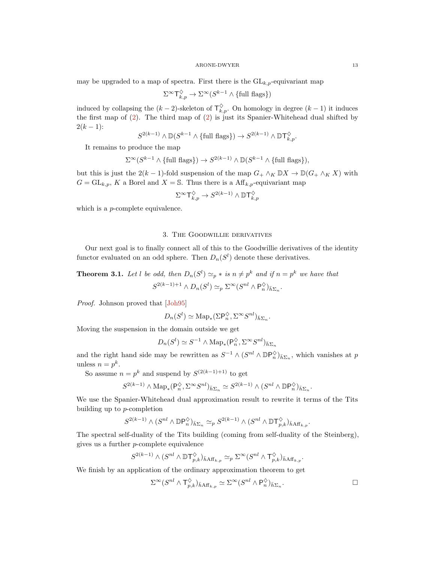<span id="page-12-0"></span>may be upgraded to a map of spectra. First there is the  $GL_{k,p}$ -equivariant map

$$
\Sigma^{\infty}\mathsf{T}^\diamondsuit_{k,p}\to \Sigma^{\infty}(S^{k-1}\wedge\{\text{full flags}\})
$$

induced by collapsing the  $(k-2)$ -skeleton of  $\mathsf{T}^{\diamondsuit}_{k,p}$ . On homology in degree  $(k-1)$  it induces the first map of [\(2\)](#page-11-0). The third map of [\(2\)](#page-11-0) is just its Spanier-Whitehead dual shifted by  $2(k-1)$ :

$$
S^{2(k-1)} \wedge \mathbb{D}(S^{k-1} \wedge \{\text{full flags}\}) \to S^{2(k-1)} \wedge \mathbb{D} \mathsf{T}^{\lozenge}_{k,p}.
$$

It remains to produce the map

$$
\Sigma^{\infty}(S^{k-1} \wedge {\text{full flags}}) \to S^{2(k-1)} \wedge \mathbb{D}(S^{k-1} \wedge {\text{full flags}}),
$$

but this is just the 2(k – 1)-fold suspension of the map  $G_+ \wedge_K \mathbb{D}X \to \mathbb{D}(G_+ \wedge_K X)$  with  $G = GL_{k,p}, K$  a Borel and  $X = \mathbb{S}$ . Thus there is a Aff<sub>k,p</sub>-equivariant map

$$
\Sigma^\infty\mathsf{T}^\diamondsuit_{k,p}\to S^{2(k-1)}\wedge \mathbb D\mathsf{T}^\diamondsuit_{k,p}
$$

which is a *p*-complete equivalence.

# 3. The Goodwillie derivatives

Our next goal is to finally connect all of this to the Goodwillie derivatives of the identity functor evaluated on an odd sphere. Then  $D_n(S^l)$  denote these derivatives.

**Theorem 3.1.** Let l be odd, then  $D_n(S^l) \simeq_p *$  is  $n \neq p^k$  and if  $n = p^k$  we have that  $S^{2(k-1)+1} \wedge D_n(S^l) \simeq_p \Sigma^{\infty} (S^{nl} \wedge \mathsf{P}_n^{\lozenge})_{\bar{h}\Sigma_n}.$ 

Proof. Johnson proved that [\[Joh95\]](#page-13-8)

$$
D_n(S^l) \simeq \mathrm{Map}_*(\Sigma \mathsf{P}_n^{\diamondsuit}, \Sigma^{\infty} S^{nl})_{\bar{h}\Sigma_n}.
$$

Moving the suspension in the domain outside we get

$$
D_n(S^l) \simeq S^{-1} \wedge \text{Map}_*(\mathsf{P}_n^{\lozenge}, \Sigma^{\infty} S^{nl})_{\bar{h}\Sigma_n}
$$

and the right hand side may be rewritten as  $S^{-1} \wedge (S^{nl} \wedge \mathbb{D} \mathsf{P}_n^{\diamondsuit})_{\bar{h} \Sigma_n}$ , which vanishes at p unless  $n = p^k$ .

So assume  $n = p^k$  and suspend by  $S^{(2(k-1)+1)}$  to get

$$
S^{2(k-1)} \wedge \operatorname{Map}_*(\mathsf{P}_n^{\lozenge}, \Sigma^{\infty} S^{nl})_{\bar{h}\Sigma_n} \simeq S^{2(k-1)} \wedge (S^{nl} \wedge \mathbb{D}\mathsf{P}_n^{\lozenge})_{\bar{h}\Sigma_n}
$$

We use the Spanier-Whitehead dual approximation result to rewrite it terms of the Tits building up to p-completion

$$
S^{2(k-1)}\wedge (S^{nl}\wedge \mathbb{D}\mathsf{P}^{\Diamond}_n)_{\bar h\Sigma_n}\simeq_p S^{2(k-1)}\wedge (S^{nl}\wedge \mathbb{D} \mathsf{T}^{\Diamond}_{p,k})_{\bar h\mathsf{Aff}_{k,p}}.
$$

The spectral self-duality of the Tits building (coming from self-duality of the Steinberg), gives us a further p-complete equivalence

$$
S^{2(k-1)} \wedge (S^{nl} \wedge \mathbb{D} \mathsf{T}^\diamondsuit_{p,k})_{\bar{h} \mathcal{A} \mathsf{f} \mathsf{f}_{k,p}} \simeq_p \Sigma^\infty (S^{nl} \wedge \mathsf{T}^\diamondsuit_{p,k})_{\bar{h} \mathcal{A} \mathsf{f} \mathsf{f}_{k,p}}
$$

We finish by an application of the ordinary approximation theorem to get

$$
\Sigma^{\infty}(S^{nl} \wedge \mathsf{T}^{\Diamond}_{p,k})_{\bar{h} \mathrm{Aff}_{k,p}} \simeq \Sigma^{\infty}(S^{nl} \wedge \mathsf{P}^{\Diamond}_{n})_{\bar{h} \Sigma_{n}}.
$$

.

.